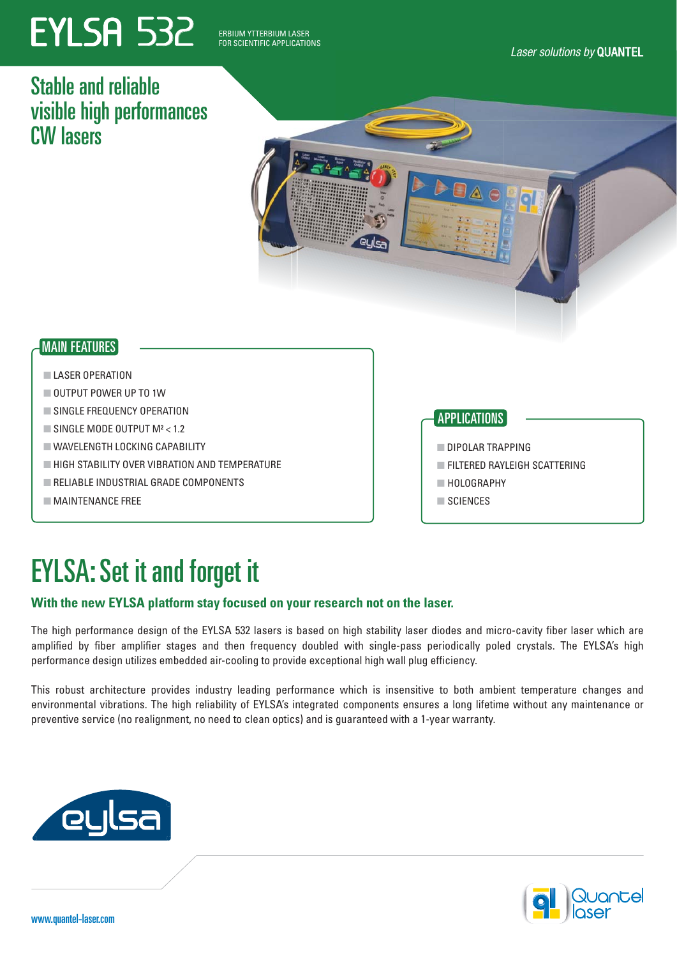# **EYLSA 532**

*Laser solutions* ERBIUM YTTERBIUM LASER FOR SCIENTIFIC APPLICATIONS

*Laser solutions by* QUANTEL

### Stable and reliable visible high performances CW lasers

#### MAIN FEATURES

#### ■ LASER OPERATION

- OUTPUT POWER UP TO 1W
- SINGLE FREQUENCY OPERATION
- $\blacksquare$  SINGLE MODE OUTPUT M<sup>2</sup> < 1.2
- WAVELENGTH LOCKING CAPABILITY
- HIGH STABILITY OVER VIBRATION AND TEMPERATURE
- RELIABLE INDUSTRIAL GRADE COMPONENTS
- MAINTENANCE FREE

#### APPLICATIONS

- DIPOLAR TRAPPING
- **E FILTERED RAYLEIGH SCATTERING**
- HOLOGRAPHY
- SCIENCES

## EYLSA: Set it and forget it

#### **With the new EYLSA platform stay focused on your research not on the laser.**

The high performance design of the EYLSA 532 lasers is based on high stability laser diodes and micro-cavity fiber laser which are amplified by fiber amplifier stages and then frequency doubled with single-pass periodically poled crystals. The EYLSA's high performance design utilizes embedded air-cooling to provide exceptional high wall plug efficiency.

This robust architecture provides industry leading performance which is insensitive to both ambient temperature changes and environmental vibrations. The high reliability of EYLSA's integrated components ensures a long lifetime without any maintenance or preventive service (no realignment, no need to clean optics) and is guaranteed with a 1-year warranty.